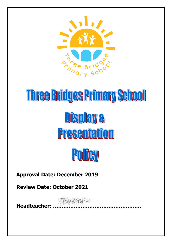

# Three Bridges Primary School Display& Presentation



**Approval Date: December 2019**

**Review Date: October 2021**

TEmperson

**Headteacher: ……………………………………………**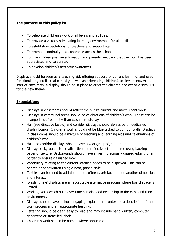### **The purpose of this policy is:**

- To celebrate children's work of all levels and abilities.
- To provide a visually stimulating learning environment for all pupils.
- To establish expectations for teachers and support staff.
- To promote continuity and coherence across the school.
- To give children positive affirmation and parents feedback that the work has been appreciated and celebrated.
- To develop children's aesthetic awareness.

Displays should be seen as a teaching aid, offering support for current learning, and used for stimulating intellectual curiosity as well as celebrating children's achievements. At the start of each term, a display should be in place to greet the children and act as a stimulus for the new theme.

#### **Expectations**

- Displays in classrooms should reflect the pupil's current and most recent work.
- Displays in communal areas should be celebrations of children's work. These can be changed less frequently than classroom displays.
- Hall (see directive below) and corridor displays should always be on dedicated display boards. Children's work should not be blue tacked to corridor walls. Displays in classrooms should be a mixture of teaching and learning aids and celebrations of children's work.
- Hall and corridor displays should have a year group sign on them.
- Display backgrounds to be attractive and reflective of the theme using backing paper or texture. Backgrounds should have a fresh, previously unused edging or a border to ensure a finished look.
- Vocabulary relating to the current learning needs to be displayed. This can be printed or handwritten using a neat, joined style.
- Textiles can be used to add depth and softness, artefacts to add another dimension and interest.
- 'Washing line' displays are an acceptable alternative in rooms where board space is limited.
- Working walls which build over time can also add ownership to the class and their environment.
- Displays should have a short engaging explanation, context or a description of the work process and an appropriate heading.
- Lettering should be clear, easy to read and may include hand written, computer generated or stencilled labels.
- Children's work should be named where applicable.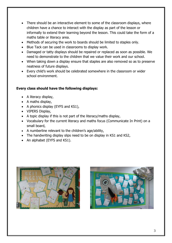- There should be an interactive element to some of the classroom displays, where children have a chance to interact with the display as part of the lesson or informally to extend their learning beyond the lesson. This could take the form of a maths table or literacy area.
- Methods of securing the work to boards should be limited to staples only.
- Blue Tack can be used in classrooms to display work.
- Damaged or tatty displays should be repaired or replaced as soon as possible. We need to demonstrate to the children that we value their work and our school.
- When taking down a display ensure that staples are also removed so as to preserve neatness of future displays.
- Every child's work should be celebrated somewhere in the classroom or wider school environment.

## **Every class should have the following displays:**

- A literacy display,
- $\bullet$  A maths display,
- A phonics display (EYFS and KS1),
- VIPERS Display,
- A topic display if this is not part of the literacy/maths display,
- Vocabulary for the current literacy and maths focus (Communicate In Print) on a small board,
- A numberline relevant to the children's age/ability,
- The handwriting display slips need to be on display in KS1 and KS2,
- An alphabet (EYFS and KS1).